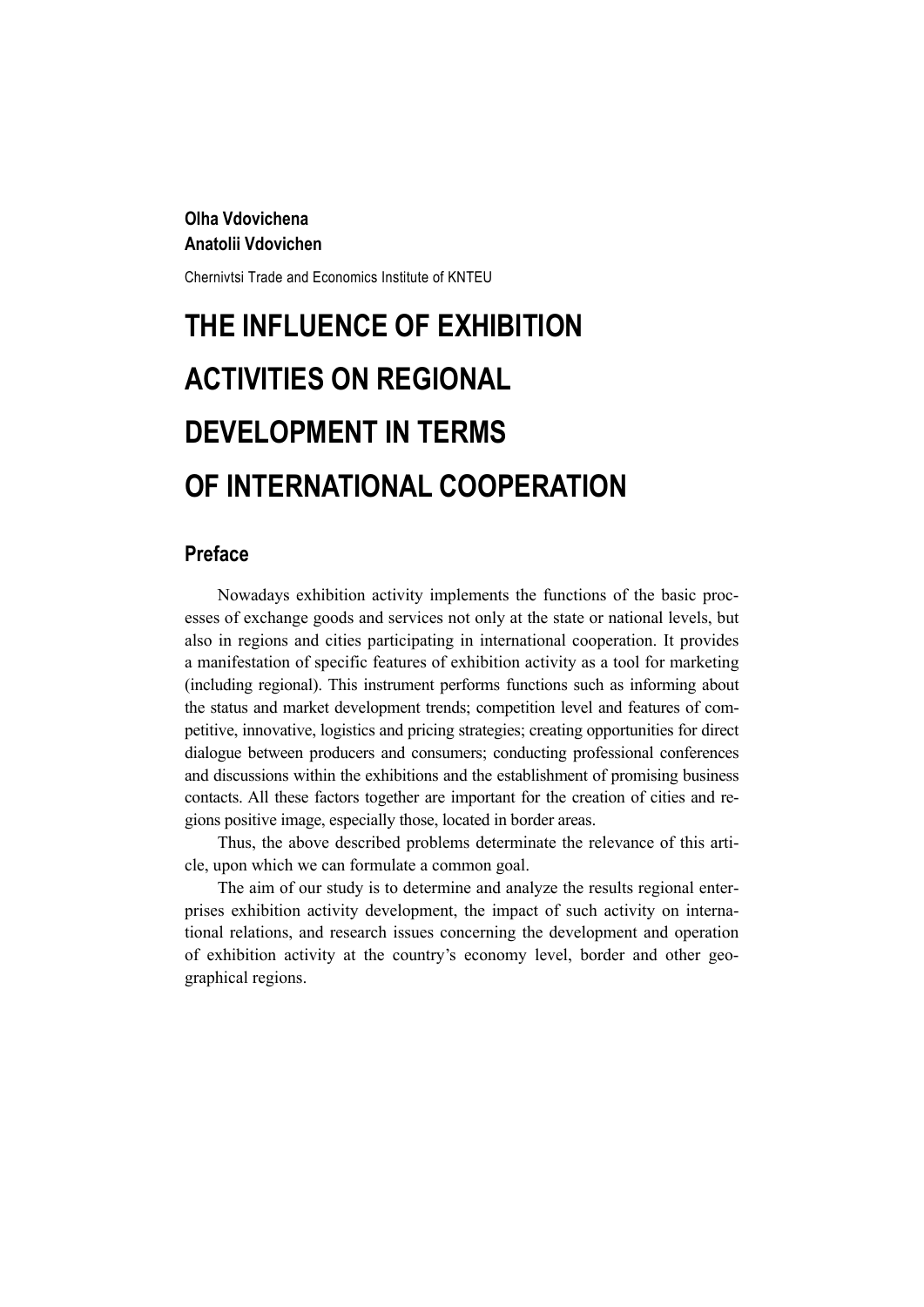## **Olha Vdovichena Anatolii Vdovichen**

Chernivtsi Trade and Economics Institute of KNTEU

# **THE INFLUENCE OF EXHIBITION ACTIVITIES ON REGIONAL DEVELOPMENT IN TERMS OF INTERNATIONAL COOPERATION**

# **Preface**

Nowadays exhibition activity implements the functions of the basic processes of exchange goods and services not only at the state or national levels, but also in regions and cities participating in international cooperation. It provides a manifestation of specific features of exhibition activity as a tool for marketing (including regional). This instrument performs functions such as informing about the status and market development trends; competition level and features of competitive, innovative, logistics and pricing strategies; creating opportunities for direct dialogue between producers and consumers; conducting professional conferences and discussions within the exhibitions and the establishment of promising business contacts. All these factors together are important for the creation of cities and regions positive image, especially those, located in border areas.

Thus, the above described problems determinate the relevance of this article, upon which we can formulate a common goal.

The aim of our study is to determine and analyze the results regional enterprises exhibition activity development, the impact of such activity on international relations, and research issues concerning the development and operation of exhibition activity at the country's economy level, border and other geographical regions.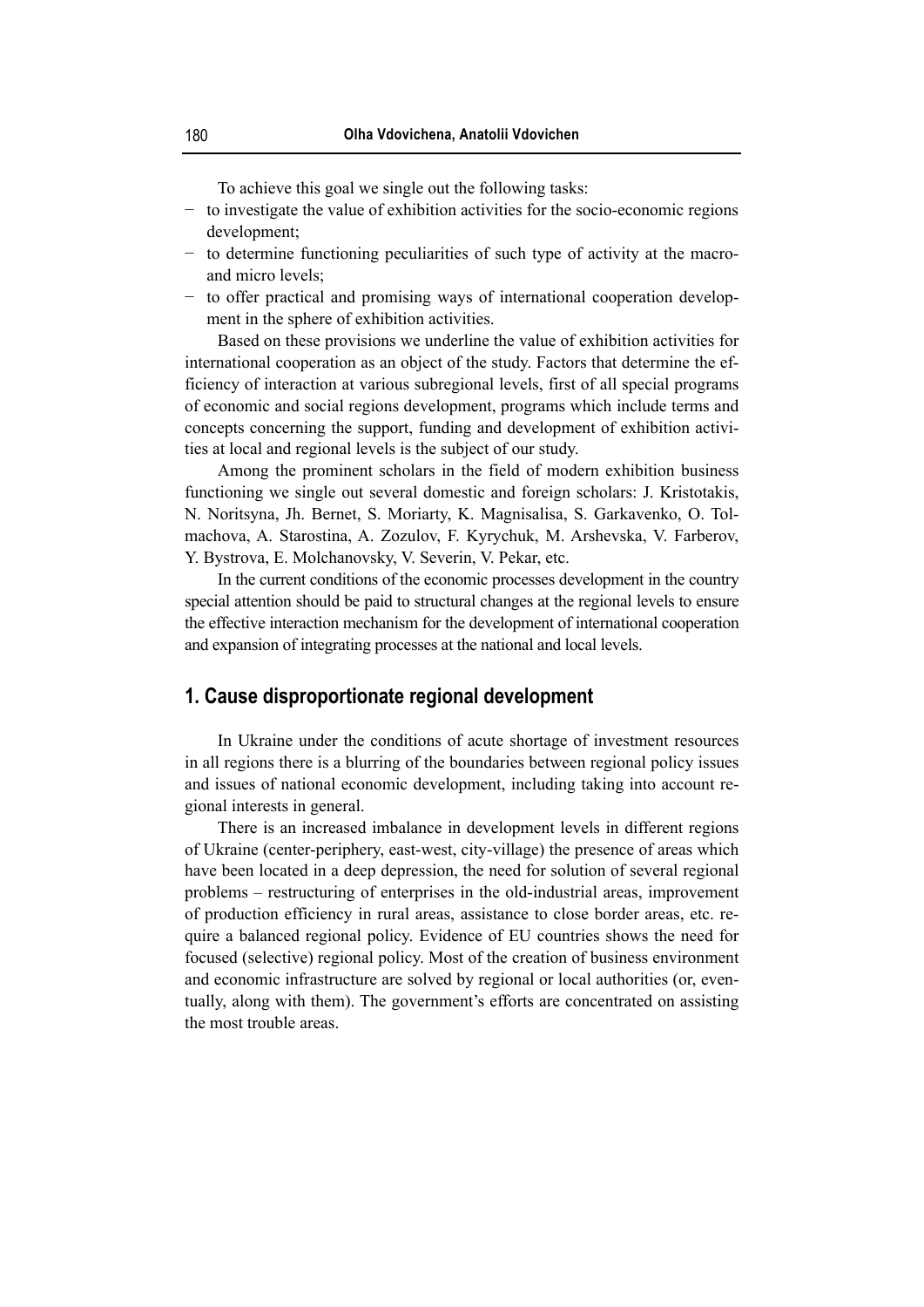To achieve this goal we single out the following tasks:

- − to investigate the value of exhibition activities for the socio-economic regions development;
- − to determine functioning peculiarities of such type of activity at the macroand micro levels;
- − to offer practical and promising ways of international cooperation development in the sphere of exhibition activities.

Based on these provisions we underline the value of exhibition activities for international cooperation as an object of the study. Factors that determine the efficiency of interaction at various subregional levels, first of all special programs of economic and social regions development, programs which include terms and concepts concerning the support, funding and development of exhibition activities at local and regional levels is the subject of our study.

Among the prominent scholars in the field of modern exhibition business functioning we single out several domestic and foreign scholars: J. Kristotakis, N. Noritsyna, Jh. Bernet, S. Moriarty, K. Magnisalisa, S. Garkavenko, O. Tolmachova, A. Starostina, A. Zozulov, F. Kyrychuk, M. Arshevska, V. Farberov, Y. Bystrova, E. Molchanovsky, V. Severin, V. Pekar, etc.

In the current conditions of the economic processes development in the country special attention should be paid to structural changes at the regional levels to ensure the effective interaction mechanism for the development of international cooperation and expansion of integrating processes at the national and local levels.

#### **1. Cause disproportionate regional development**

In Ukraine under the conditions of acute shortage of investment resources in all regions there is a blurring of the boundaries between regional policy issues and issues of national economic development, including taking into account regional interests in general.

There is an increased imbalance in development levels in different regions of Ukraine (center-periphery, east-west, city-village) the presence of areas which have been located in a deep depression, the need for solution of several regional problems – restructuring of enterprises in the old-industrial areas, improvement of production efficiency in rural areas, assistance to close border areas, etc. require a balanced regional policy. Evidence of EU countries shows the need for focused (selective) regional policy. Most of the creation of business environment and economic infrastructure are solved by regional or local authorities (or, eventually, along with them). The government's efforts are concentrated on assisting the most trouble areas.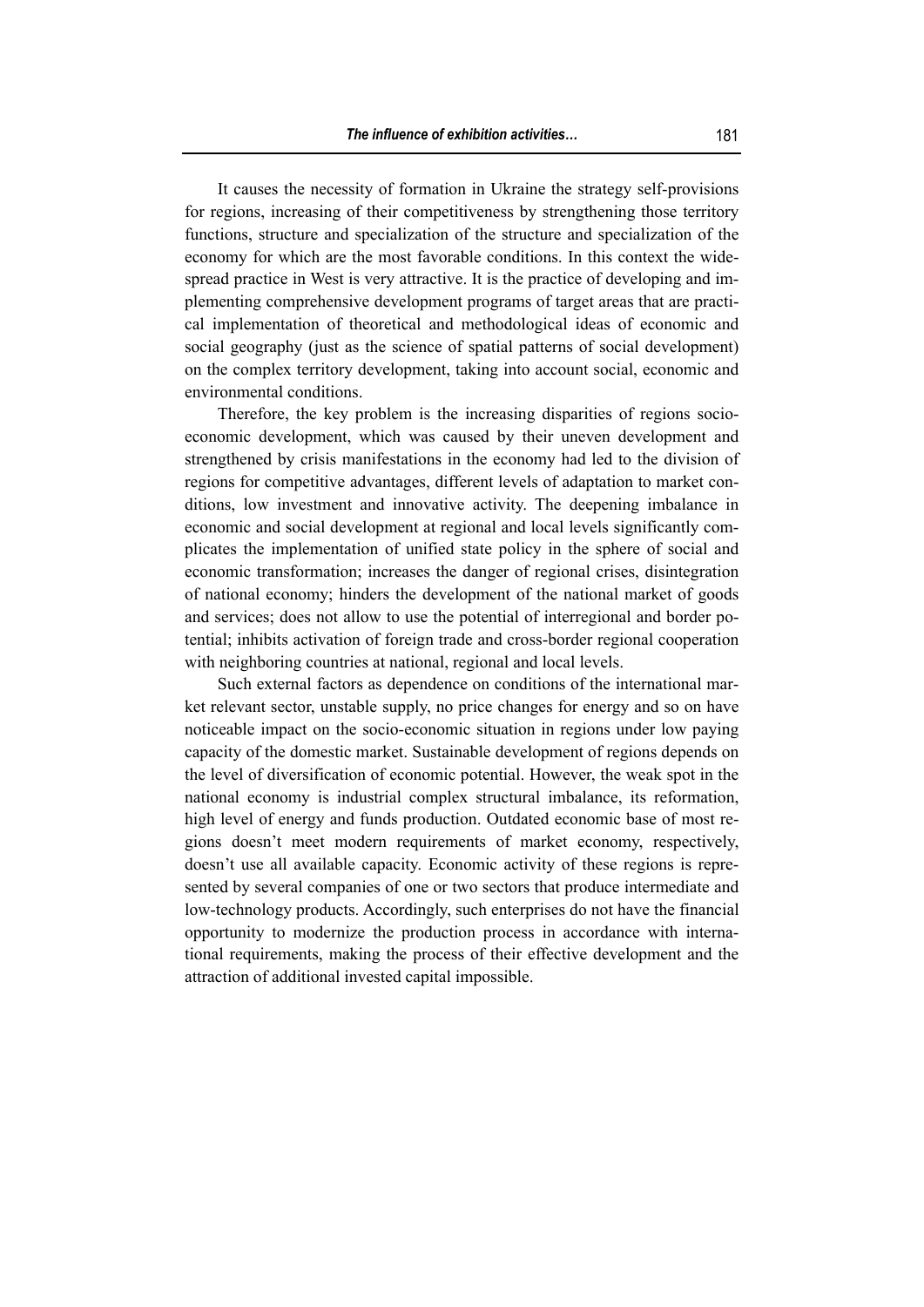It causes the necessity of formation in Ukraine the strategy self-provisions for regions, increasing of their competitiveness by strengthening those territory functions, structure and specialization of the structure and specialization of the economy for which are the most favorable conditions. In this context the widespread practice in West is very attractive. It is the practice of developing and implementing comprehensive development programs of target areas that are practical implementation of theoretical and methodological ideas of economic and social geography (just as the science of spatial patterns of social development) on the complex territory development, taking into account social, economic and environmental conditions.

Therefore, the key problem is the increasing disparities of regions socioeconomic development, which was caused by their uneven development and strengthened by crisis manifestations in the economy had led to the division of regions for competitive advantages, different levels of adaptation to market conditions, low investment and innovative activity. The deepening imbalance in economic and social development at regional and local levels significantly complicates the implementation of unified state policy in the sphere of social and economic transformation; increases the danger of regional crises, disintegration of national economy; hinders the development of the national market of goods and services; does not allow to use the potential of interregional and border potential; inhibits activation of foreign trade and cross-border regional cooperation with neighboring countries at national, regional and local levels.

Such external factors as dependence on conditions of the international market relevant sector, unstable supply, no price changes for energy and so on have noticeable impact on the socio-economic situation in regions under low paying capacity of the domestic market. Sustainable development of regions depends on the level of diversification of economic potential. However, the weak spot in the national economy is industrial complex structural imbalance, its reformation, high level of energy and funds production. Outdated economic base of most regions doesn't meet modern requirements of market economy, respectively, doesn't use all available capacity. Economic activity of these regions is represented by several companies of one or two sectors that produce intermediate and low-technology products. Accordingly, such enterprises do not have the financial opportunity to modernize the production process in accordance with international requirements, making the process of their effective development and the attraction of additional invested capital impossible.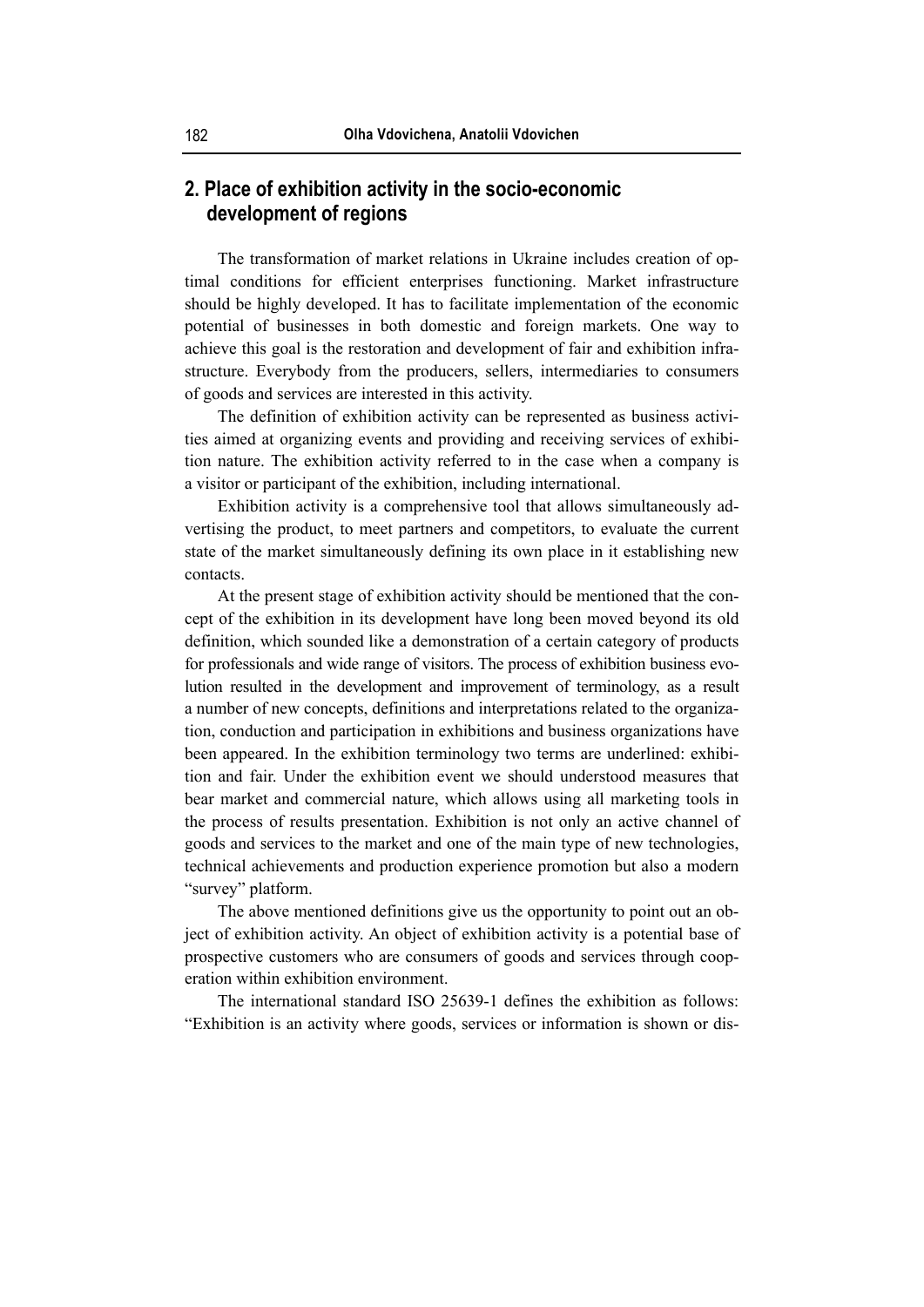# **2. Place of exhibition activity in the socio-economic development of regions**

The transformation of market relations in Ukraine includes creation of optimal conditions for efficient enterprises functioning. Market infrastructure should be highly developed. It has to facilitate implementation of the economic potential of businesses in both domestic and foreign markets. One way to achieve this goal is the restoration and development of fair and exhibition infrastructure. Everybody from the producers, sellers, intermediaries to consumers of goods and services are interested in this activity.

The definition of exhibition activity can be represented as business activities aimed at organizing events and providing and receiving services of exhibition nature. The exhibition activity referred to in the case when a company is a visitor or participant of the exhibition, including international.

Exhibition activity is a comprehensive tool that allows simultaneously advertising the product, to meet partners and competitors, to evaluate the current state of the market simultaneously defining its own place in it establishing new contacts.

At the present stage of exhibition activity should be mentioned that the concept of the exhibition in its development have long been moved beyond its old definition, which sounded like a demonstration of a certain category of products for professionals and wide range of visitors. The process of exhibition business evolution resulted in the development and improvement of terminology, as a result a number of new concepts, definitions and interpretations related to the organization, conduction and participation in exhibitions and business organizations have been appeared. In the exhibition terminology two terms are underlined: exhibition and fair. Under the exhibition event we should understood measures that bear market and commercial nature, which allows using all marketing tools in the process of results presentation. Exhibition is not only an active channel of goods and services to the market and one of the main type of new technologies, technical achievements and production experience promotion but also a modern "survey" platform.

The above mentioned definitions give us the opportunity to point out an object of exhibition activity. An object of exhibition activity is a potential base of prospective customers who are consumers of goods and services through cooperation within exhibition environment.

The international standard ISO 25639-1 defines the exhibition as follows: "Exhibition is an activity where goods, services or information is shown or dis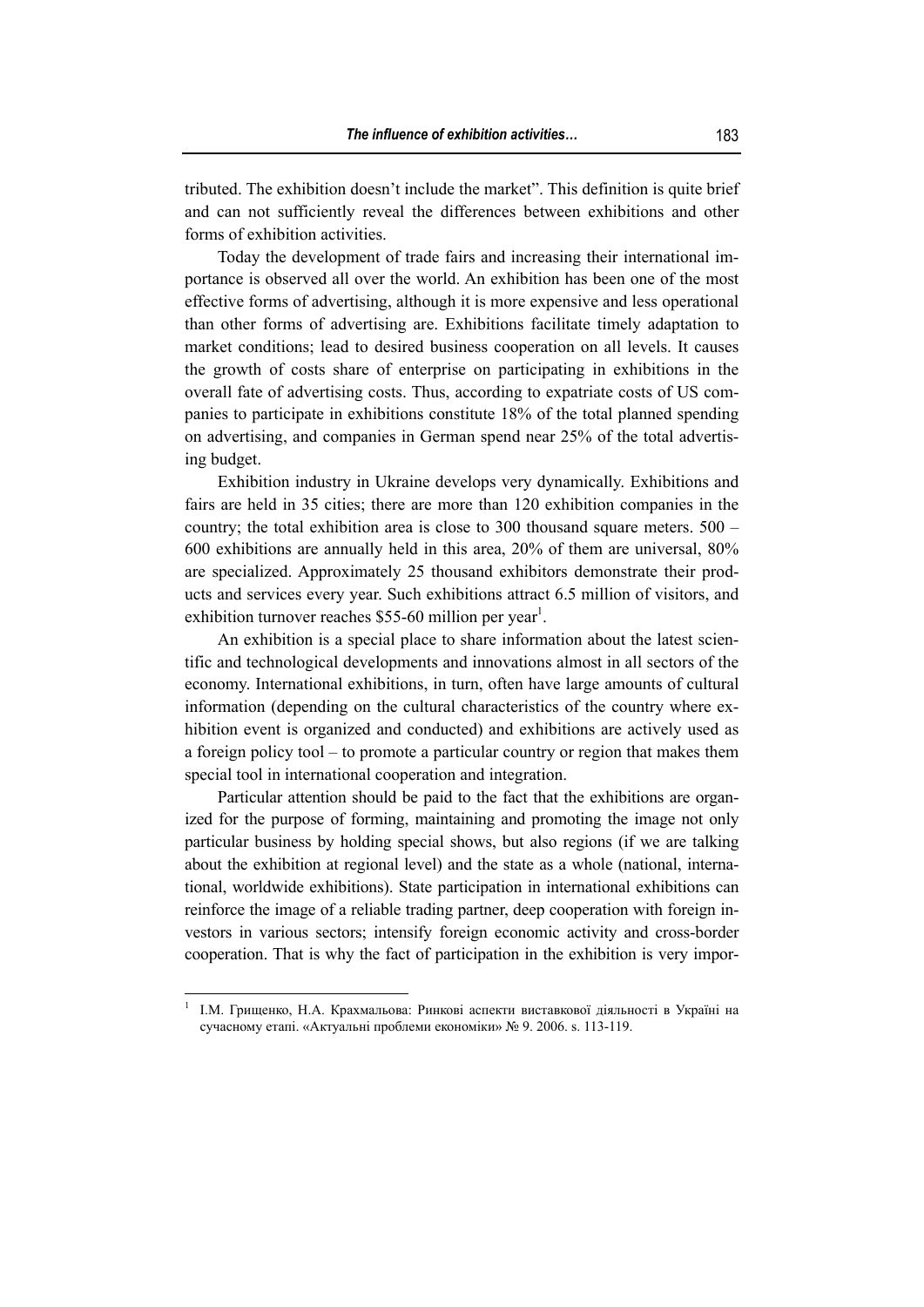tributed. The exhibition doesn't include the market". This definition is quite brief and can not sufficiently reveal the differences between exhibitions and other forms of exhibition activities.

Today the development of trade fairs and increasing their international importance is observed all over the world. An exhibition has been one of the most effective forms of advertising, although it is more expensive and less operational than other forms of advertising are. Exhibitions facilitate timely adaptation to market conditions; lead to desired business cooperation on all levels. It causes the growth of costs share of enterprise on participating in exhibitions in the overall fate of advertising costs. Thus, according to expatriate costs of US companies to participate in exhibitions constitute 18% of the total planned spending on advertising, and companies in German spend near 25% of the total advertising budget.

Exhibition industry in Ukraine develops very dynamically. Exhibitions and fairs are held in 35 cities; there are more than 120 exhibition companies in the country; the total exhibition area is close to 300 thousand square meters. 500 – 600 exhibitions are annually held in this area, 20% of them are universal, 80% are specialized. Approximately 25 thousand exhibitors demonstrate their products and services every year. Such exhibitions attract 6.5 million of visitors, and exhibition turnover reaches \$55-60 million per year<sup>1</sup>.

An exhibition is a special place to share information about the latest scientific and technological developments and innovations almost in all sectors of the economy. International exhibitions, in turn, often have large amounts of cultural information (depending on the cultural characteristics of the country where exhibition event is organized and conducted) and exhibitions are actively used as a foreign policy tool – to promote a particular country or region that makes them special tool in international cooperation and integration.

Particular attention should be paid to the fact that the exhibitions are organized for the purpose of forming, maintaining and promoting the image not only particular business by holding special shows, but also regions (if we are talking about the exhibition at regional level) and the state as a whole (national, international, worldwide exhibitions). State participation in international exhibitions can reinforce the image of a reliable trading partner, deep cooperation with foreign investors in various sectors; intensify foreign economic activity and cross-border cooperation. That is why the fact of participation in the exhibition is very impor-

 $\overline{a}$ 

<sup>1</sup> І.М. Грищенко, Н.А. Крахмальова: Ринкові аспекти виставкової діяльності в Україні на сучасному етапі. «Актуальні проблеми економіки» № 9. 2006. s. 113-119.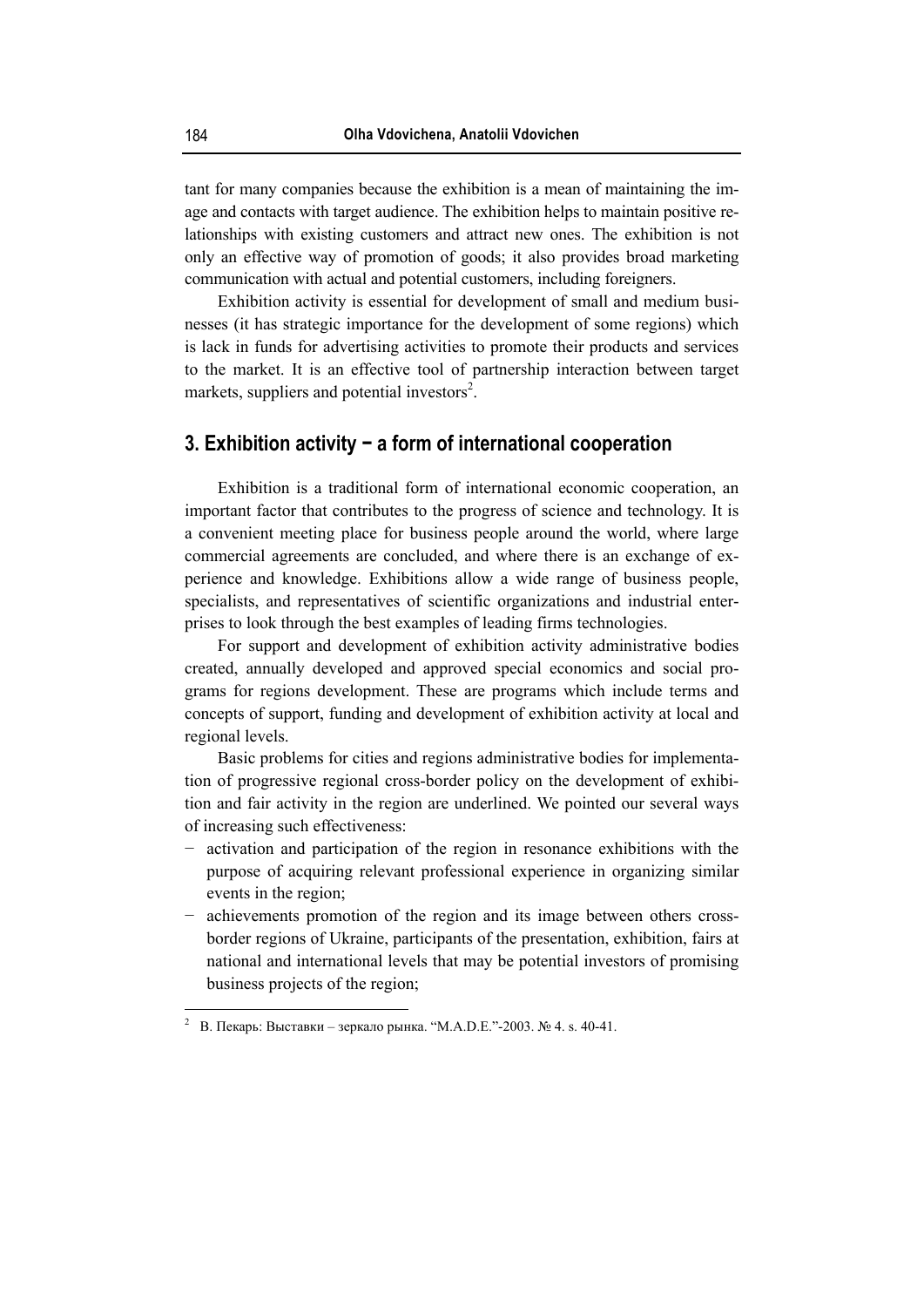tant for many companies because the exhibition is a mean of maintaining the image and contacts with target audience. The exhibition helps to maintain positive relationships with existing customers and attract new ones. The exhibition is not only an effective way of promotion of goods; it also provides broad marketing communication with actual and potential customers, including foreigners.

Exhibition activity is essential for development of small and medium businesses (it has strategic importance for the development of some regions) which is lack in funds for advertising activities to promote their products and services to the market. It is an effective tool of partnership interaction between target markets, suppliers and potential investors<sup>2</sup>.

# **3. Exhibition activity − a form of international cooperation**

Exhibition is a traditional form of international economic cooperation, an important factor that contributes to the progress of science and technology. It is a convenient meeting place for business people around the world, where large commercial agreements are concluded, and where there is an exchange of experience and knowledge. Exhibitions allow a wide range of business people, specialists, and representatives of scientific organizations and industrial enterprises to look through the best examples of leading firms technologies.

For support and development of exhibition activity administrative bodies created, annually developed and approved special economics and social programs for regions development. These are programs which include terms and concepts of support, funding and development of exhibition activity at local and regional levels.

Basic problems for cities and regions administrative bodies for implementation of progressive regional cross-border policy on the development of exhibition and fair activity in the region are underlined. We pointed our several ways of increasing such effectiveness:

- − activation and participation of the region in resonance exhibitions with the purpose of acquiring relevant professional experience in organizing similar events in the region;
- − achievements promotion of the region and its image between others crossborder regions of Ukraine, participants of the presentation, exhibition, fairs at national and international levels that may be potential investors of promising business projects of the region;

 $\overline{a}$ 

<sup>2</sup> В. Пекарь: Выставки – зеркало рынка. "М.А.D.E."-2003. № 4. s. 40-41.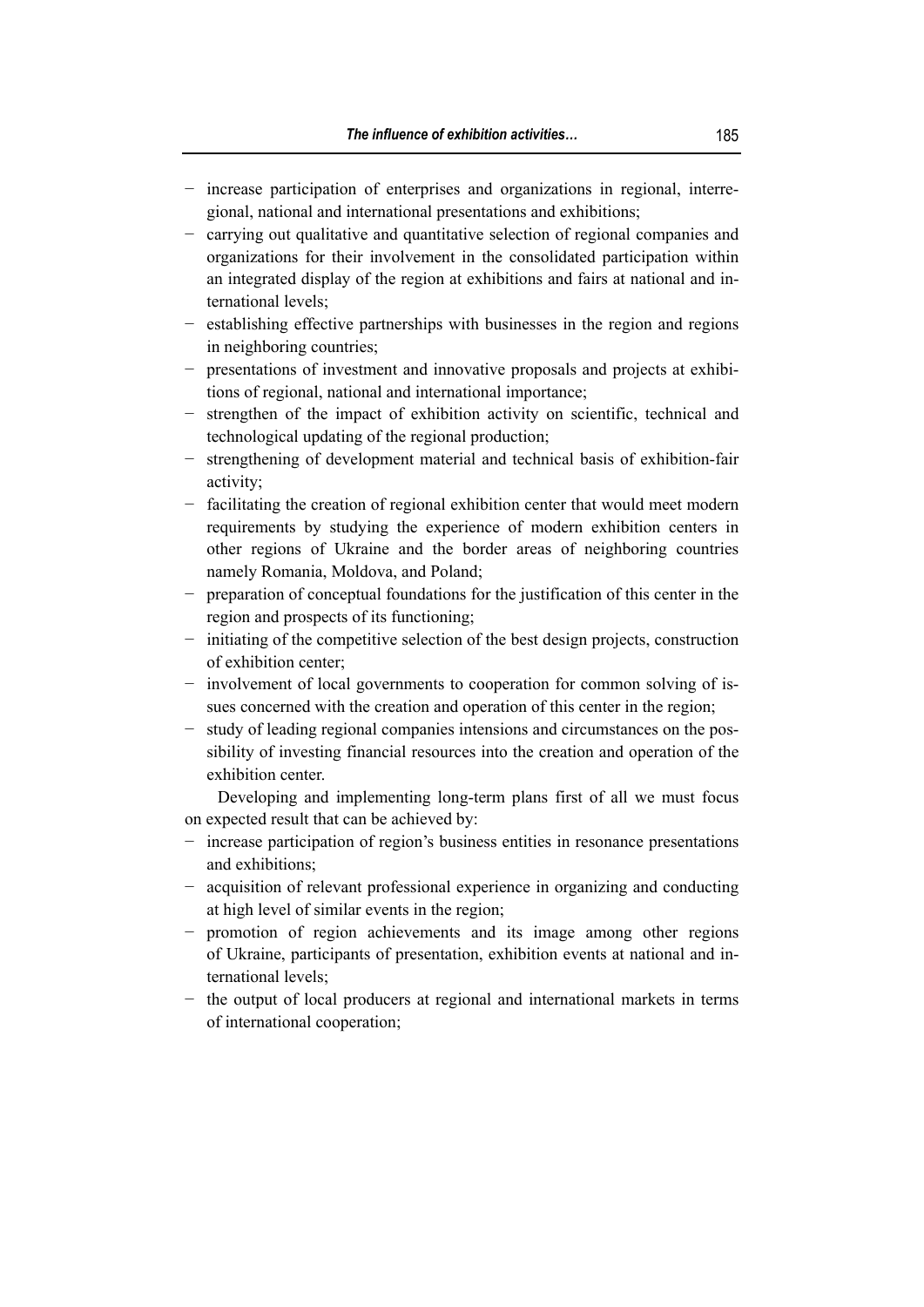- − increase participation of enterprises and organizations in regional, interregional, national and international presentations and exhibitions;
- − carrying out qualitative and quantitative selection of regional companies and organizations for their involvement in the consolidated participation within an integrated display of the region at exhibitions and fairs at national and international levels;
- − establishing effective partnerships with businesses in the region and regions in neighboring countries;
- − presentations of investment and innovative proposals and projects at exhibitions of regional, national and international importance;
- − strengthen of the impact of exhibition activity on scientific, technical and technological updating of the regional production;
- − strengthening of development material and technical basis of exhibition-fair activity;
- − facilitating the creation of regional exhibition center that would meet modern requirements by studying the experience of modern exhibition centers in other regions of Ukraine and the border areas of neighboring countries namely Romania, Moldova, and Poland;
- − preparation of conceptual foundations for the justification of this center in the region and prospects of its functioning;
- − initiating of the competitive selection of the best design projects, construction of exhibition center;
- − involvement of local governments to cooperation for common solving of issues concerned with the creation and operation of this center in the region;
- − study of leading regional companies intensions and circumstances on the possibility of investing financial resources into the creation and operation of the exhibition center.

Developing and implementing long-term plans first of all we must focus on expected result that can be achieved by:

- − increase participation of region's business entities in resonance presentations and exhibitions;
- − acquisition of relevant professional experience in organizing and conducting at high level of similar events in the region;
- − promotion of region achievements and its image among other regions of Ukraine, participants of presentation, exhibition events at national and international levels;
- − the output of local producers at regional and international markets in terms of international cooperation;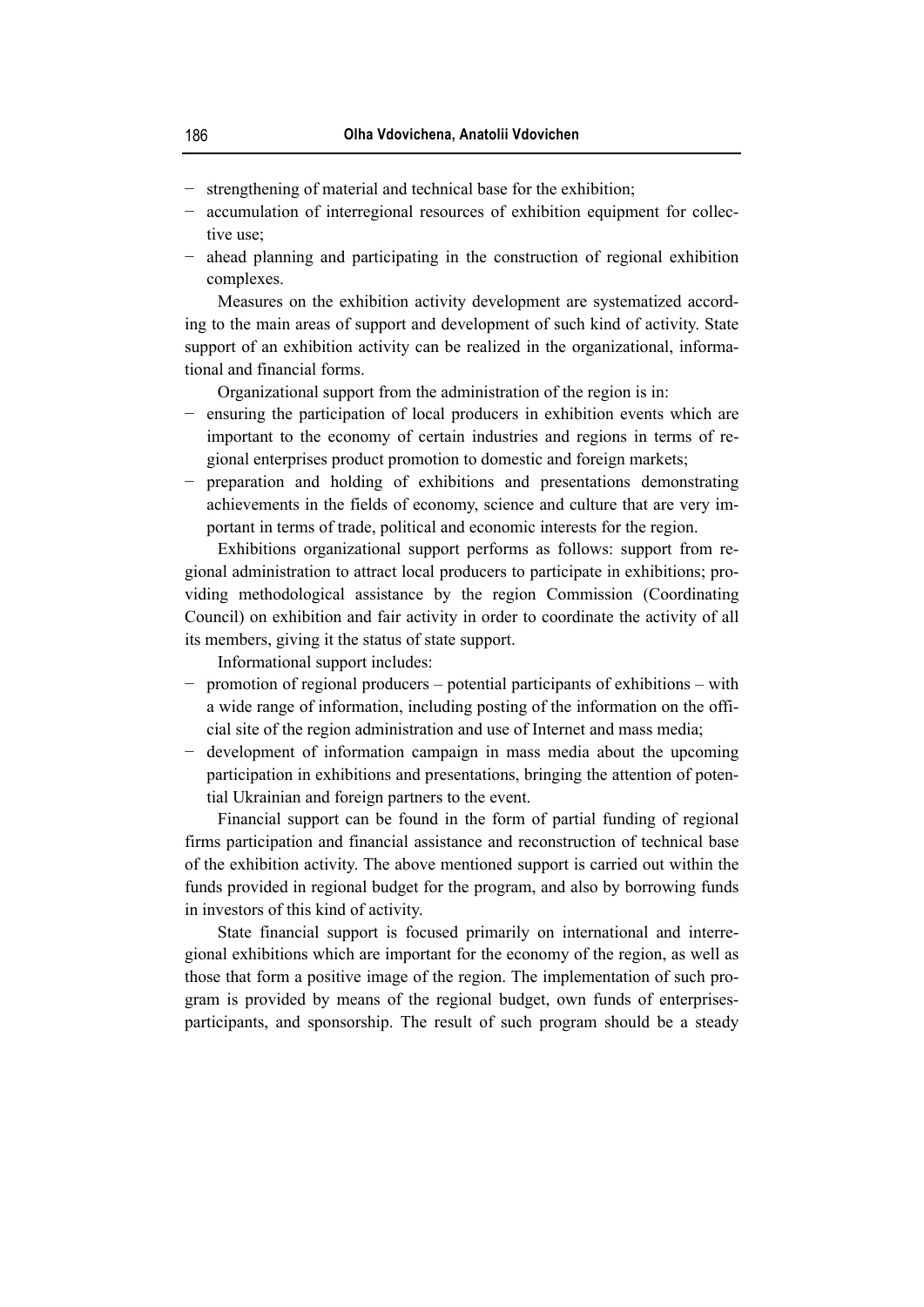- − strengthening of material and technical base for the exhibition;
- − accumulation of interregional resources of exhibition equipment for collective use;
- − ahead planning and participating in the construction of regional exhibition complexes.

Measures on the exhibition activity development are systematized according to the main areas of support and development of such kind of activity. State support of an exhibition activity can be realized in the organizational, informational and financial forms.

Organizational support from the administration of the region is in:

- − ensuring the participation of local producers in exhibition events which are important to the economy of certain industries and regions in terms of regional enterprises product promotion to domestic and foreign markets;
- preparation and holding of exhibitions and presentations demonstrating achievements in the fields of economy, science and culture that are very important in terms of trade, political and economic interests for the region.

Exhibitions organizational support performs as follows: support from regional administration to attract local producers to participate in exhibitions; providing methodological assistance by the region Commission (Coordinating Council) on exhibition and fair activity in order to coordinate the activity of all its members, giving it the status of state support.

Informational support includes:

- − promotion of regional producers potential participants of exhibitions with a wide range of information, including posting of the information on the official site of the region administration and use of Internet and mass media;
- development of information campaign in mass media about the upcoming participation in exhibitions and presentations, bringing the attention of potential Ukrainian and foreign partners to the event.

Financial support can be found in the form of partial funding of regional firms participation and financial assistance and reconstruction of technical base of the exhibition activity. The above mentioned support is carried out within the funds provided in regional budget for the program, and also by borrowing funds in investors of this kind of activity.

State financial support is focused primarily on international and interregional exhibitions which are important for the economy of the region, as well as those that form a positive image of the region. The implementation of such program is provided by means of the regional budget, own funds of enterprisesparticipants, and sponsorship. The result of such program should be a steady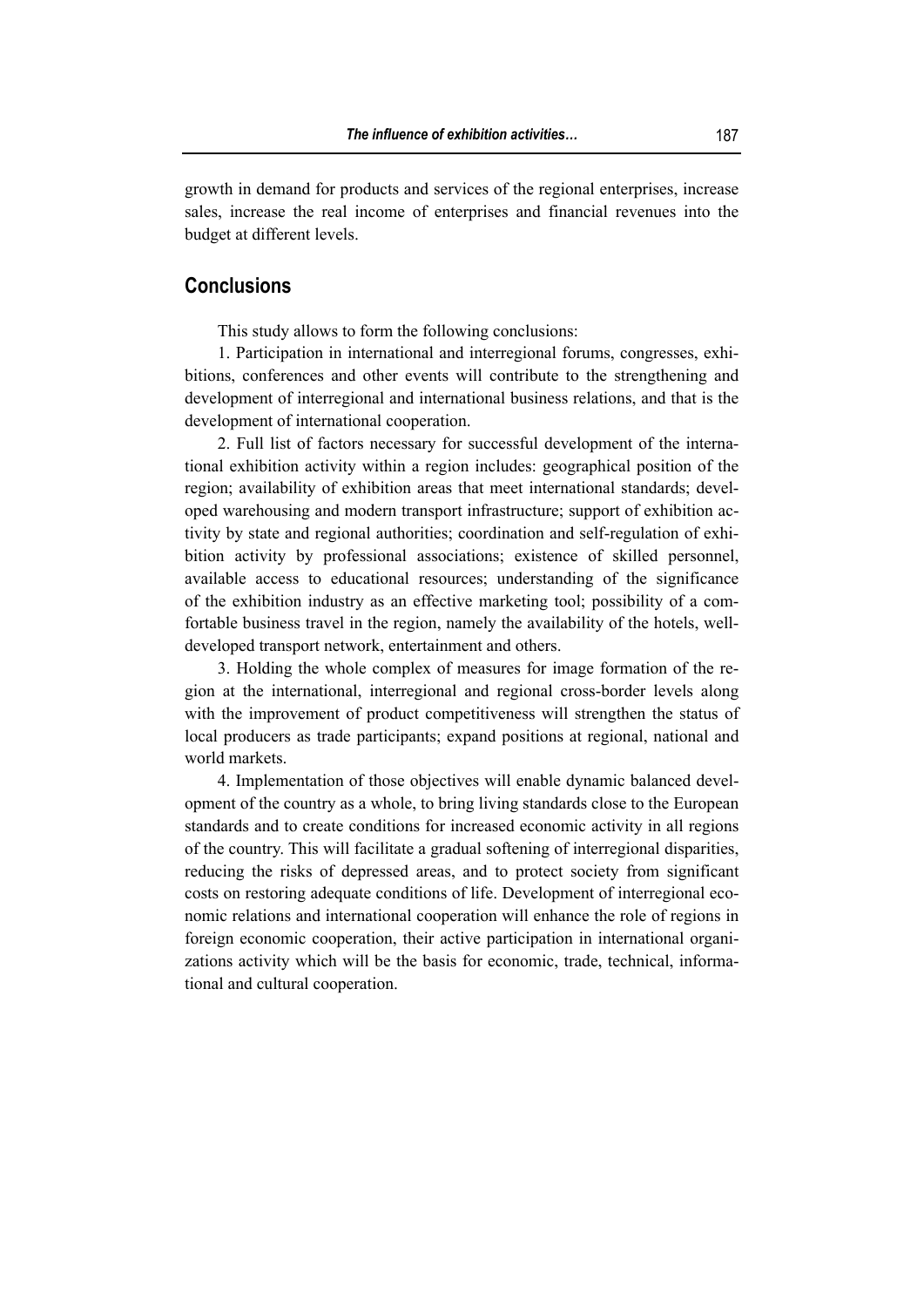growth in demand for products and services of the regional enterprises, increase sales, increase the real income of enterprises and financial revenues into the budget at different levels.

## **Conclusions**

This study allows to form the following conclusions:

1. Participation in international and interregional forums, congresses, exhibitions, conferences and other events will contribute to the strengthening and development of interregional and international business relations, and that is the development of international cooperation.

2. Full list of factors necessary for successful development of the international exhibition activity within a region includes: geographical position of the region; availability of exhibition areas that meet international standards; developed warehousing and modern transport infrastructure; support of exhibition activity by state and regional authorities; coordination and self-regulation of exhibition activity by professional associations; existence of skilled personnel, available access to educational resources; understanding of the significance of the exhibition industry as an effective marketing tool; possibility of a comfortable business travel in the region, namely the availability of the hotels, welldeveloped transport network, entertainment and others.

3. Holding the whole complex of measures for image formation of the region at the international, interregional and regional cross-border levels along with the improvement of product competitiveness will strengthen the status of local producers as trade participants; expand positions at regional, national and world markets.

4. Implementation of those objectives will enable dynamic balanced development of the country as a whole, to bring living standards close to the European standards and to create conditions for increased economic activity in all regions of the country. This will facilitate a gradual softening of interregional disparities, reducing the risks of depressed areas, and to protect society from significant costs on restoring adequate conditions of life. Development of interregional economic relations and international cooperation will enhance the role of regions in foreign economic cooperation, their active participation in international organizations activity which will be the basis for economic, trade, technical, informational and cultural cooperation.